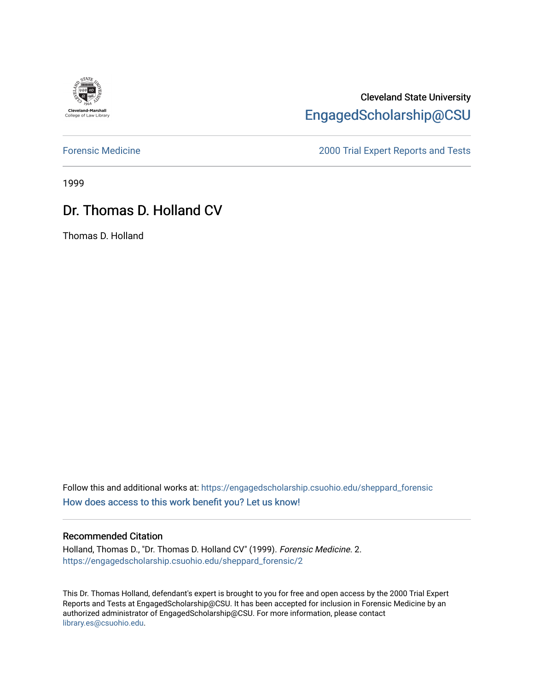

# Cleveland State University [EngagedScholarship@CSU](https://engagedscholarship.csuohio.edu/)

[Forensic Medicine](https://engagedscholarship.csuohio.edu/sheppard_forensic) [2000 Trial Expert Reports and Tests](https://engagedscholarship.csuohio.edu/sheppard_experts) 

1999

# Dr. Thomas D. Holland CV

Thomas D. Holland

Follow this and additional works at: [https://engagedscholarship.csuohio.edu/sheppard\\_forensic](https://engagedscholarship.csuohio.edu/sheppard_forensic?utm_source=engagedscholarship.csuohio.edu%2Fsheppard_forensic%2F2&utm_medium=PDF&utm_campaign=PDFCoverPages) [How does access to this work benefit you? Let us know!](http://library.csuohio.edu/engaged/)

#### Recommended Citation

Holland, Thomas D., "Dr. Thomas D. Holland CV" (1999). Forensic Medicine. 2. [https://engagedscholarship.csuohio.edu/sheppard\\_forensic/2](https://engagedscholarship.csuohio.edu/sheppard_forensic/2?utm_source=engagedscholarship.csuohio.edu%2Fsheppard_forensic%2F2&utm_medium=PDF&utm_campaign=PDFCoverPages)

This Dr. Thomas Holland, defendant's expert is brought to you for free and open access by the 2000 Trial Expert Reports and Tests at EngagedScholarship@CSU. It has been accepted for inclusion in Forensic Medicine by an authorized administrator of EngagedScholarship@CSU. For more information, please contact [library.es@csuohio.edu.](mailto:library.es@csuohio.edu)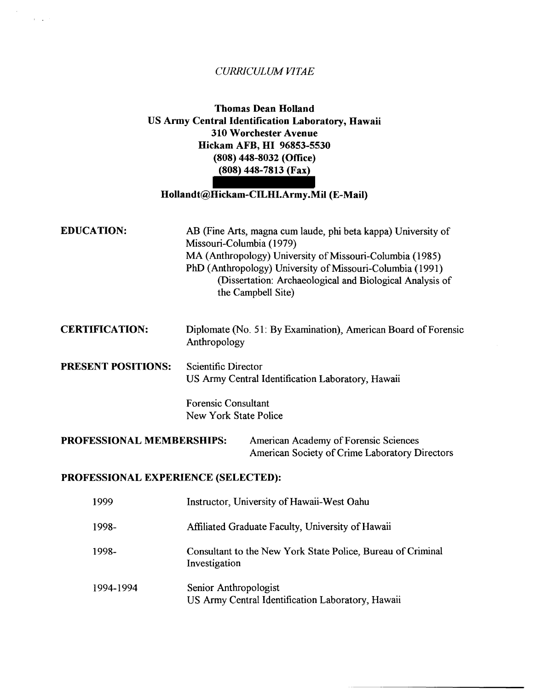#### *CURRICULUM VITAE*

 $\mathcal{A} \subset \mathcal{A}$  .

### **Thomas Dean Holland US Army Central Identification Laboratory, Hawaii 310 Worchester Avenue Hickam AFB, HI 96853-5530 (808) 448-8032 (Office) (808) 448-7813 (Fax)**

#### **Hollandt@Hickam-CILHI.Army.Mil (E-Mail)**

| <b>EDUCATION:</b>                   | AB (Fine Arts, magna cum laude, phi beta kappa) University of<br>Missouri-Columbia (1979)<br>MA (Anthropology) University of Missouri-Columbia (1985)<br>PhD (Anthropology) University of Missouri-Columbia (1991)<br>(Dissertation: Archaeological and Biological Analysis of<br>the Campbell Site) |
|-------------------------------------|------------------------------------------------------------------------------------------------------------------------------------------------------------------------------------------------------------------------------------------------------------------------------------------------------|
| <b>CERTIFICATION:</b>               | Diplomate (No. 51: By Examination), American Board of Forensic<br>Anthropology                                                                                                                                                                                                                       |
| <b>PRESENT POSITIONS:</b>           | <b>Scientific Director</b><br>US Army Central Identification Laboratory, Hawaii                                                                                                                                                                                                                      |
|                                     | <b>Forensic Consultant</b><br><b>New York State Police</b>                                                                                                                                                                                                                                           |
| <b>PROFESSIONAL MEMBERSHIPS:</b>    | American Academy of Forensic Sciences<br>American Society of Crime Laboratory Directors                                                                                                                                                                                                              |
| PROFESSIONAL EXPERIENCE (SELECTED): |                                                                                                                                                                                                                                                                                                      |
| 1999                                | Instructor, University of Hawaii-West Oahu                                                                                                                                                                                                                                                           |
| 1998-                               | Affiliated Graduate Faculty, University of Hawaii                                                                                                                                                                                                                                                    |
| 1998-                               | Consultant to the New York State Police, Bureau of Criminal<br>Investigation                                                                                                                                                                                                                         |
| 1994-1994                           | Senior Anthropologist<br>US Army Central Identification Laboratory, Hawaii                                                                                                                                                                                                                           |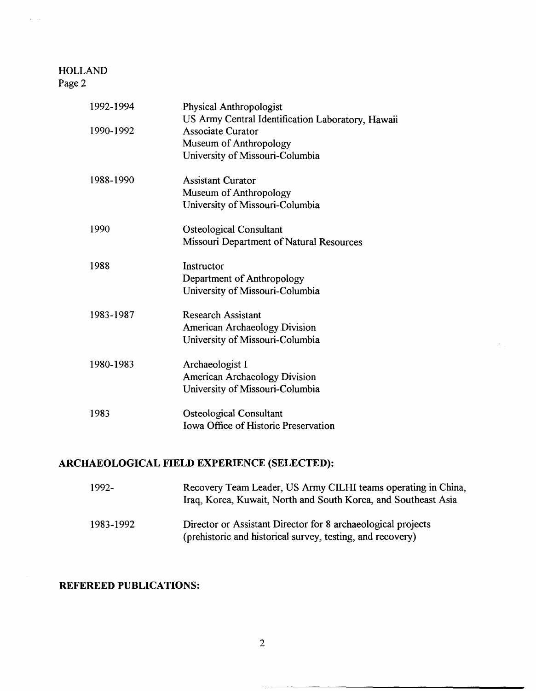$\hat{r} = \hat{r}$ 

| 1992-1994 | <b>Physical Anthropologist</b><br>US Army Central Identification Laboratory, Hawaii |
|-----------|-------------------------------------------------------------------------------------|
| 1990-1992 | <b>Associate Curator</b>                                                            |
|           | Museum of Anthropology                                                              |
|           | University of Missouri-Columbia                                                     |
| 1988-1990 | <b>Assistant Curator</b>                                                            |
|           | Museum of Anthropology                                                              |
|           | University of Missouri-Columbia                                                     |
| 1990      | <b>Osteological Consultant</b>                                                      |
|           | Missouri Department of Natural Resources                                            |
| 1988      | Instructor                                                                          |
|           | Department of Anthropology                                                          |
|           | University of Missouri-Columbia                                                     |
| 1983-1987 | <b>Research Assistant</b>                                                           |
|           | <b>American Archaeology Division</b>                                                |
|           | University of Missouri-Columbia                                                     |
| 1980-1983 | Archaeologist I                                                                     |
|           | American Archaeology Division                                                       |
|           | University of Missouri-Columbia                                                     |
| 1983      | <b>Osteological Consultant</b>                                                      |
|           | Iowa Office of Historic Preservation                                                |
|           |                                                                                     |

# **ARCHAEOLOGICAL FIELD EXPERIENCE (SELECTED):**

| 1992-     | Recovery Team Leader, US Army CILHI teams operating in China,<br>Iraq, Korea, Kuwait, North and South Korea, and Southeast Asia |
|-----------|---------------------------------------------------------------------------------------------------------------------------------|
| 1983-1992 | Director or Assistant Director for 8 archaeological projects<br>(prehistoric and historical survey, testing, and recovery)      |

 $\mathcal{C}^{\pm}$ 

## **REFEREED PUBLICATIONS:**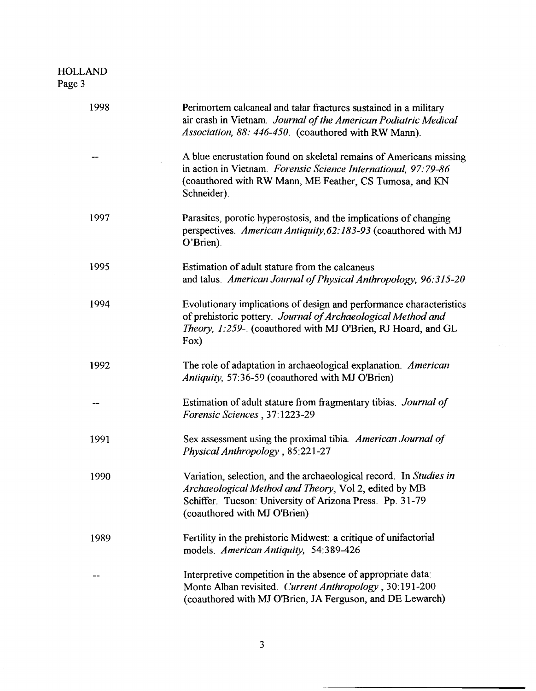| 1998 | Perimortem calcaneal and talar fractures sustained in a military<br>air crash in Vietnam. Journal of the American Podiatric Medical<br>Association, 88: 446-450. (coauthored with RW Mann).                             |
|------|-------------------------------------------------------------------------------------------------------------------------------------------------------------------------------------------------------------------------|
|      | A blue encrustation found on skeletal remains of Americans missing<br>in action in Vietnam. Forensic Science International, 97:79-86<br>(coauthored with RW Mann, ME Feather, CS Tumosa, and KN<br>Schneider).          |
| 1997 | Parasites, porotic hyperostosis, and the implications of changing<br>perspectives. American Antiquity, 62:183-93 (coauthored with MJ<br>O'Brien).                                                                       |
| 1995 | Estimation of adult stature from the calcaneus<br>and talus. American Journal of Physical Anthropology, 96:315-20                                                                                                       |
| 1994 | Evolutionary implications of design and performance characteristics<br>of prehistoric pottery. Journal of Archaeological Method and<br>Theory, 1:259-. (coauthored with MJ O'Brien, RJ Hoard, and GL<br>Fox)            |
| 1992 | The role of adaptation in archaeological explanation. American<br>Antiquity, 57:36-59 (coauthored with MJ O'Brien)                                                                                                      |
|      | Estimation of adult stature from fragmentary tibias. Journal of<br>Forensic Sciences, 37:1223-29                                                                                                                        |
| 1991 | Sex assessment using the proximal tibia. American Journal of<br>Physical Anthropology, 85:221-27                                                                                                                        |
| 1990 | Variation, selection, and the archaeological record. In Studies in<br>Archaeological Method and Theory, Vol 2, edited by MB<br>Schiffer. Tucson: University of Arizona Press. Pp. 31-79<br>(coauthored with MJ O'Brien) |
| 1989 | Fertility in the prehistoric Midwest: a critique of unifactorial<br>models. American Antiquity, 54:389-426                                                                                                              |
|      | Interpretive competition in the absence of appropriate data:<br>Monte Alban revisited. Current Anthropology, 30:191-200<br>(coauthored with MJ O'Brien, JA Ferguson, and DE Lewarch)                                    |

 $\bar{\omega}$  .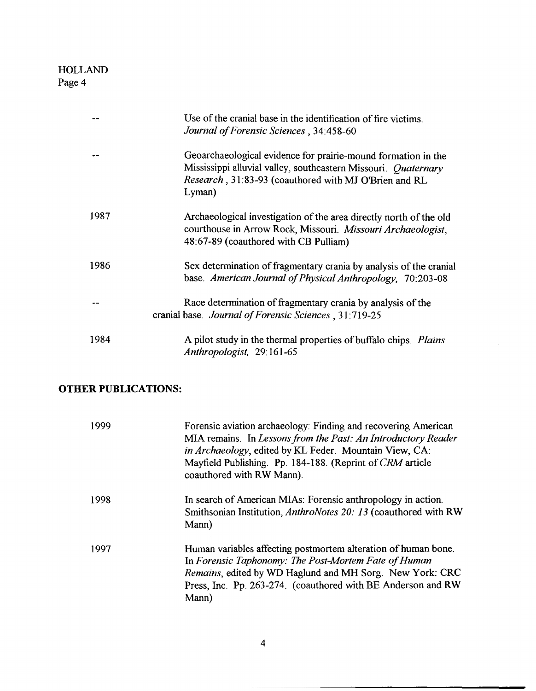|      | Use of the cranial base in the identification of fire victims.<br>Journal of Forensic Sciences, 34:458-60                                                                                          |
|------|----------------------------------------------------------------------------------------------------------------------------------------------------------------------------------------------------|
|      | Geoarchaeological evidence for prairie-mound formation in the<br>Mississippi alluvial valley, southeastern Missouri. Ouaternary<br>Research, 31:83-93 (coauthored with MJ O'Brien and RL<br>Lyman) |
| 1987 | Archaeological investigation of the area directly north of the old<br>courthouse in Arrow Rock, Missouri. Missouri Archaeologist,<br>48:67-89 (coauthored with CB Pulliam)                         |
| 1986 | Sex determination of fragmentary crania by analysis of the cranial<br>base. American Journal of Physical Anthropology, 70:203-08                                                                   |
|      | Race determination of fragmentary crania by analysis of the<br>cranial base. Journal of Forensic Sciences, 31:719-25                                                                               |
| 1984 | A pilot study in the thermal properties of buffalo chips. Plains<br>Anthropologist, 29:161-65                                                                                                      |

 $\mathcal{L}$ 

# **OTHER PUBLICATIONS:**

| 1999 | Forensic aviation archaeology: Finding and recovering American<br>MIA remains. In Lessons from the Past: An Introductory Reader<br><i>in Archaeology</i> , edited by KL Feder. Mountain View, CA:<br>Mayfield Publishing. Pp. 184-188. (Reprint of CRM article<br>coauthored with RW Mann). |
|------|---------------------------------------------------------------------------------------------------------------------------------------------------------------------------------------------------------------------------------------------------------------------------------------------|
| 1998 | In search of American MIAs: Forensic anthropology in action.<br>Smithsonian Institution, AnthroNotes 20: 13 (coauthored with RW<br>Mann)                                                                                                                                                    |
| 1997 | Human variables affecting postmortem alteration of human bone.<br>In Forensic Taphonomy: The Post-Mortem Fate of Human<br>Remains, edited by WD Haglund and MH Sorg. New York: CRC<br>Press, Inc. Pp. 263-274. (coauthored with BE Anderson and RW<br>Mann)                                 |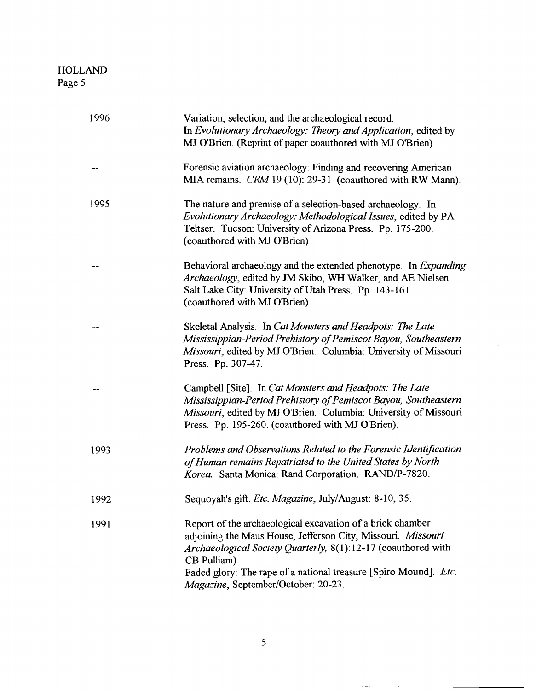| 1996 | Variation, selection, and the archaeological record.<br>In Evolutionary Archaeology: Theory and Application, edited by<br>MJ O'Brien. (Reprint of paper coauthored with MJ O'Brien)                                                                 |
|------|-----------------------------------------------------------------------------------------------------------------------------------------------------------------------------------------------------------------------------------------------------|
|      | Forensic aviation archaeology: Finding and recovering American<br>MIA remains. CRM 19 (10): 29-31 (coauthored with RW Mann).                                                                                                                        |
| 1995 | The nature and premise of a selection-based archaeology. In<br>Evolutionary Archaeology: Methodological Issues, edited by PA<br>Teltser. Tucson: University of Arizona Press. Pp. 175-200.<br>(coauthored with MJ O'Brien)                          |
|      | Behavioral archaeology and the extended phenotype. In Expanding<br>Archaeology, edited by JM Skibo, WH Walker, and AE Nielsen.<br>Salt Lake City: University of Utah Press. Pp. 143-161.<br>(coauthored with MJ O'Brien)                            |
|      | Skeletal Analysis. In Cat Monsters and Headpots: The Late<br>Mississippian-Period Prehistory of Pemiscot Bayou, Southeastern<br>Missouri, edited by MJ O'Brien. Columbia: University of Missouri<br>Press. Pp. 307-47.                              |
|      | Campbell [Site]. In Cat Monsters and Headpots: The Late<br>Mississippian-Period Prehistory of Pemiscot Bayou, Southeastern<br>Missouri, edited by MJ O'Brien. Columbia: University of Missouri<br>Press. Pp. 195-260. (coauthored with MJ O'Brien). |
| 1993 | Problems and Observations Related to the Forensic Identification<br>of Human remains Repatriated to the United States by North<br>Korea. Santa Monica: Rand Corporation. RAND/P-7820.                                                               |
| 1992 | Sequoyah's gift. Etc. Magazine, July/August: 8-10, 35                                                                                                                                                                                               |
| 1991 | Report of the archaeological excavation of a brick chamber<br>adjoining the Maus House, Jefferson City, Missouri. Missouri<br>Archaeological Society Quarterly, 8(1):12-17 (coauthored with<br>CB Pulliam)                                          |
|      | Faded glory: The rape of a national treasure [Spiro Mound]. <i>Etc.</i><br>Magazine, September/October: 20-23.                                                                                                                                      |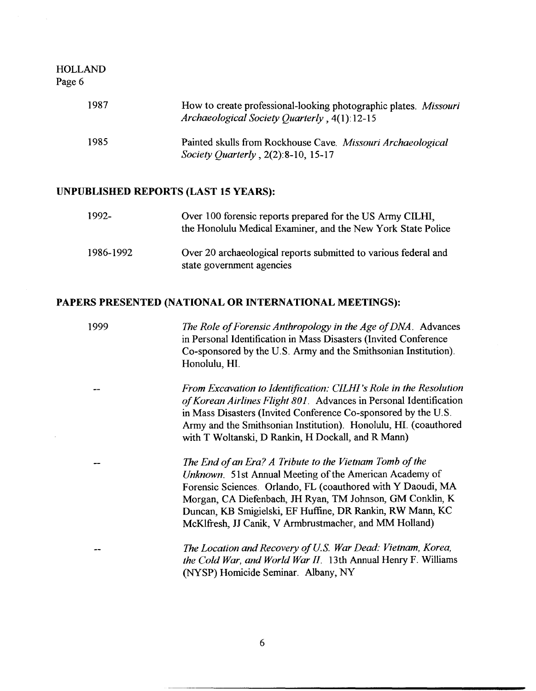| 1987 | How to create professional-looking photographic plates. Missouri<br>Archaeological Society Quarterly, 4(1):12-15 |
|------|------------------------------------------------------------------------------------------------------------------|
| 1985 | Painted skulls from Rockhouse Cave. Missouri Archaeological<br><i>Society Quarterly</i> , $2(2):8-10, 15-17$     |

#### UNPUBLISHED REPORTS (LAST 15 YEARS):

| 1992-     | Over 100 forensic reports prepared for the US Army CILHI,<br>the Honolulu Medical Examiner, and the New York State Police |
|-----------|---------------------------------------------------------------------------------------------------------------------------|
| 1986-1992 | Over 20 archaeological reports submitted to various federal and<br>state government agencies                              |

#### PAPERS PRESENTED (NATIONAL OR INTERNATIONAL MEETINGS):

1999 *The Role of Forensic Anthropology in the Age of DNA.* Advances in Personal Identification in Mass Disasters (Invited Conference Co-sponsored by the U.S. Army and the Smithsonian Institution). Honolulu, HI.

> *From Excavation to Identification: CILHI 's Role in the Resolution of Korean Airlines Flight 801.* Advances in Personal Identification in Mass Disasters (Invited Conference Co-sponsored by the U.S. Army and the Smithsonian Institution). Honolulu, HI. (coauthored with T Woltanski, D Rankin, H Dockall, and R Mann)

*The End of an Era? A Tribute to the Vietnam Tomb of the Unknown.* 5lst Annual Meeting of the American Academy of Forensic Sciences. Orlando, FL (coauthored with Y Daoudi, MA Morgan, CA Diefenbach, JH Ryan, TM Johnson, GM Conklin, K Duncan, KB Smigielski, EF Huffine, DR Rankin, RW Mann, KC McKlfresh, JJ Canik, V Arrnbrustmacher, and MM Holland)

*The Location and Recovery of U.S. War Dead: Vietnam, Korea, the Cold War, and World War* II. 13th Annual Henry F. Williams (NYSP) Homicide Seminar. Albany, NY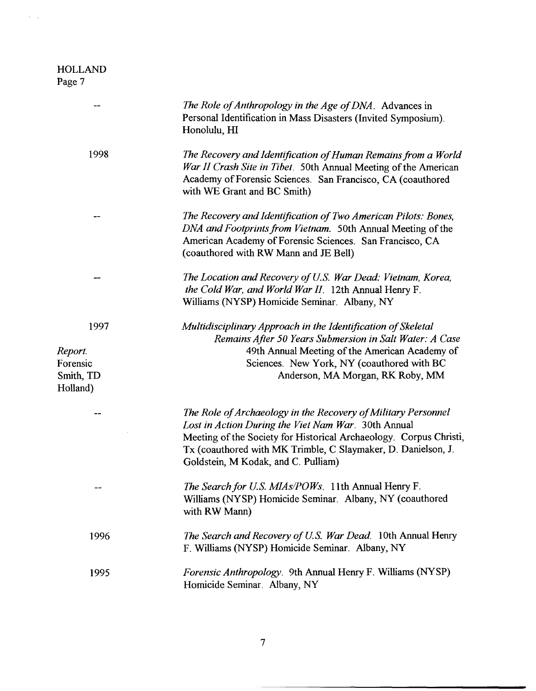$\hat{S}$  ,  $\hat{S}$ 

|                                                      | The Role of Anthropology in the Age of DNA. Advances in<br>Personal Identification in Mass Disasters (Invited Symposium).<br>Honolulu, HI                                                                                                                                                          |
|------------------------------------------------------|----------------------------------------------------------------------------------------------------------------------------------------------------------------------------------------------------------------------------------------------------------------------------------------------------|
| 1998                                                 | The Recovery and Identification of Human Remains from a World<br>War II Crash Site in Tibet. 50th Annual Meeting of the American<br>Academy of Forensic Sciences. San Francisco, CA (coauthored<br>with WE Grant and BC Smith)                                                                     |
|                                                      | The Recovery and Identification of Two American Pilots: Bones,<br>DNA and Footprints from Vietnam. 50th Annual Meeting of the<br>American Academy of Forensic Sciences. San Francisco, CA<br>(coauthored with RW Mann and JE Bell)                                                                 |
|                                                      | The Location and Recovery of U.S. War Dead: Vietnam, Korea,<br>the Cold War, and World War II. 12th Annual Henry F.<br>Williams (NYSP) Homicide Seminar. Albany, NY                                                                                                                                |
| 1997<br>Report.<br>Forensic<br>Smith, TD<br>Holland) | Multidisciplinary Approach in the Identification of Skeletal<br>Remains After 50 Years Submersion in Salt Water: A Case<br>49th Annual Meeting of the American Academy of<br>Sciences. New York, NY (coauthored with BC<br>Anderson, MA Morgan, RK Roby, MM                                        |
|                                                      | The Role of Archaeology in the Recovery of Military Personnel<br>Lost in Action During the Viet Nam War. 30th Annual<br>Meeting of the Society for Historical Archaeology. Corpus Christi,<br>Tx (coauthored with MK Trimble, C Slaymaker, D. Danielson, J.<br>Goldstein, M Kodak, and C. Pulliam) |
|                                                      | The Search for U.S. MIAs/POWs. 11th Annual Henry F.<br>Williams (NYSP) Homicide Seminar. Albany, NY (coauthored<br>with RW Mann)                                                                                                                                                                   |
| 1996                                                 | <i>The Search and Recovery of U.S. War Dead.</i> 10th Annual Henry<br>F. Williams (NYSP) Homicide Seminar. Albany, NY                                                                                                                                                                              |
| 1995                                                 | <i>Forensic Anthropology.</i> 9th Annual Henry F. Williams (NYSP)<br>Homicide Seminar. Albany, NY                                                                                                                                                                                                  |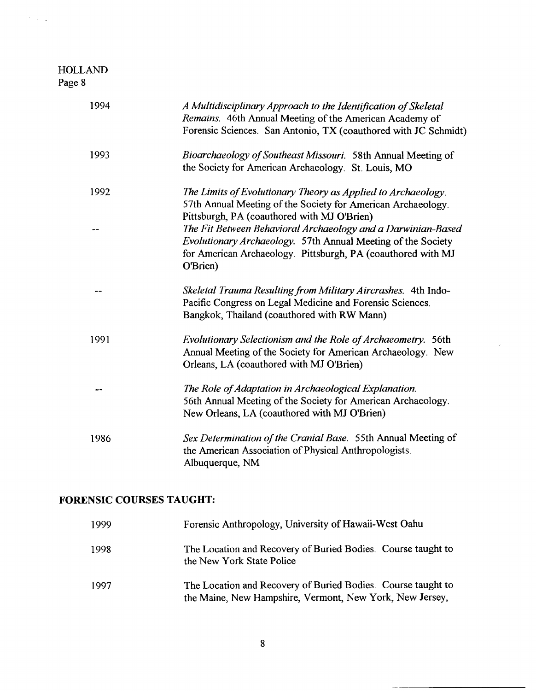$\mathcal{O}(\mathcal{L}^2)$ 

 $\hat{\boldsymbol{\gamma}}$ 

| 1994 | A Multidisciplinary Approach to the Identification of Skeletal<br>Remains. 46th Annual Meeting of the American Academy of<br>Forensic Sciences. San Antonio, TX (coauthored with JC Schmidt)             |
|------|----------------------------------------------------------------------------------------------------------------------------------------------------------------------------------------------------------|
| 1993 | Bioarchaeology of Southeast Missouri. 58th Annual Meeting of<br>the Society for American Archaeology. St. Louis, MO                                                                                      |
| 1992 | The Limits of Evolutionary Theory as Applied to Archaeology.<br>57th Annual Meeting of the Society for American Archaeology.<br>Pittsburgh, PA (coauthored with MJ O'Brien)                              |
|      | The Fit Between Behavioral Archaeology and a Darwinian-Based<br>Evolutionary Archaeology. 57th Annual Meeting of the Society<br>for American Archaeology. Pittsburgh, PA (coauthored with MJ<br>O'Brien) |
|      | Skeletal Trauma Resulting from Military Aircrashes. 4th Indo-<br>Pacific Congress on Legal Medicine and Forensic Sciences.<br>Bangkok, Thailand (coauthored with RW Mann)                                |
| 1991 | Evolutionary Selectionism and the Role of Archaeometry. 56th<br>Annual Meeting of the Society for American Archaeology. New<br>Orleans, LA (coauthored with MJ O'Brien)                                  |
|      | The Role of Adaptation in Archaeological Explanation.<br>56th Annual Meeting of the Society for American Archaeology.<br>New Orleans, LA (coauthored with MJ O'Brien)                                    |
| 1986 | Sex Determination of the Cranial Base. 55th Annual Meeting of<br>the American Association of Physical Anthropologists.<br>Albuquerque, NM                                                                |

# **FORENSIC COURSES TAUGHT:**

| 1999 | Forensic Anthropology, University of Hawaii-West Oahu                                                                    |
|------|--------------------------------------------------------------------------------------------------------------------------|
| 1998 | The Location and Recovery of Buried Bodies. Course taught to<br>the New York State Police                                |
| 1997 | The Location and Recovery of Buried Bodies. Course taught to<br>the Maine, New Hampshire, Vermont, New York, New Jersey, |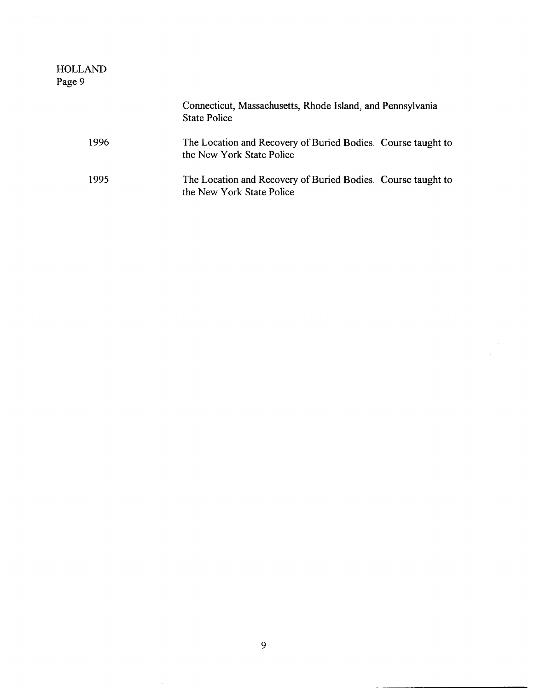| <b>HOLLAND</b><br>Page 9 |                                                                                           |
|--------------------------|-------------------------------------------------------------------------------------------|
|                          | Connecticut, Massachusetts, Rhode Island, and Pennsylvania<br><b>State Police</b>         |
| 1996                     | The Location and Recovery of Buried Bodies. Course taught to<br>the New York State Police |
| 1995                     | The Location and Recovery of Buried Bodies. Course taught to<br>the New York State Police |

 $\begin{minipage}[b]{0.5\linewidth} \centering \begin{tabular}{|l|l|l|l|} \hline & \multicolumn{1}{|l|l|l|} \hline \multicolumn{1}{|l|l|} \multicolumn{1}{|l|l|} \multicolumn{1}{|l|l|} \multicolumn{1}{|l|} \multicolumn{1}{|l|} \multicolumn{1}{|l|} \multicolumn{1}{|l|} \multicolumn{1}{|l|} \multicolumn{1}{|l|} \multicolumn{1}{|l|} \multicolumn{1}{|l|} \multicolumn{1}{|l|} \multicolumn{1}{|l|} \multicolumn{1}{|l|} \multicolumn$ 1